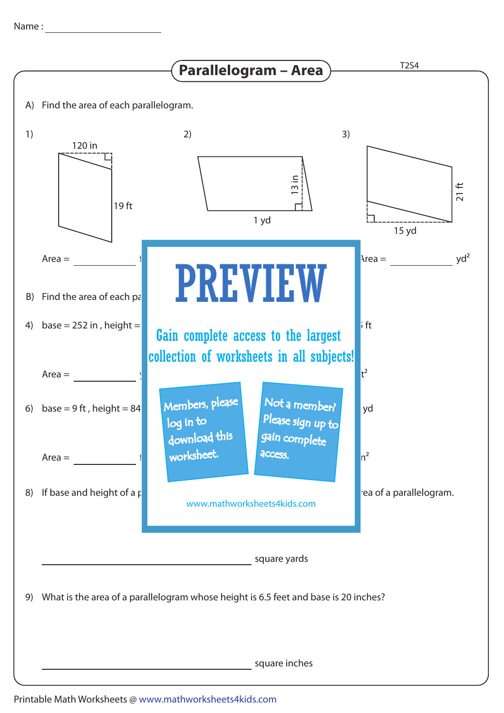